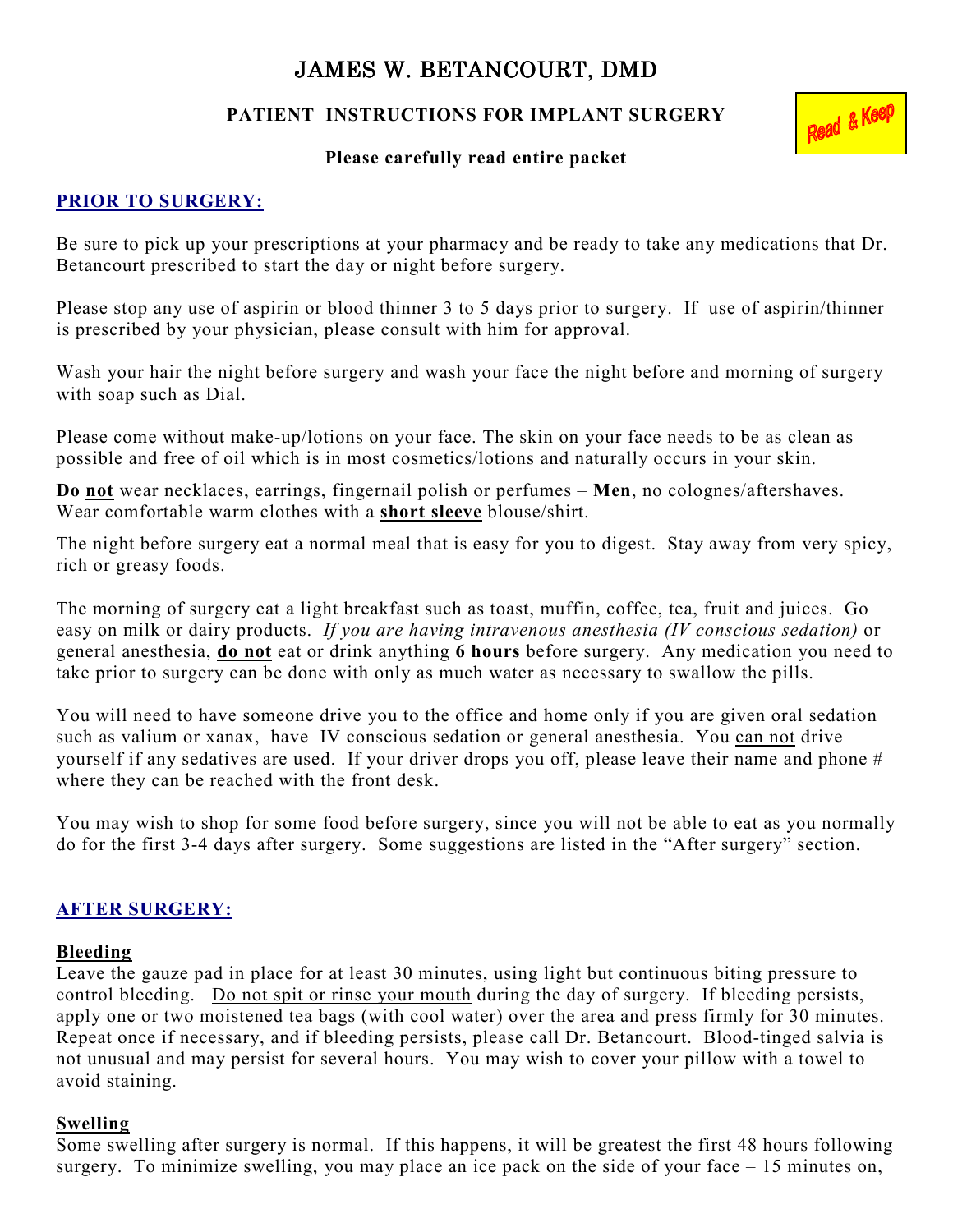# JAMES W. BETANCOURT, DMD

# PATIENT INSTRUCTIONS FOR IMPLANT SURGERY

Read & Keep

# Please carefully read entire packet

# PRIOR TO SURGERY:

Be sure to pick up your prescriptions at your pharmacy and be ready to take any medications that Dr. Betancourt prescribed to start the day or night before surgery.

Please stop any use of aspirin or blood thinner 3 to 5 days prior to surgery. If use of aspirin/thinner is prescribed by your physician, please consult with him for approval.

Wash your hair the night before surgery and wash your face the night before and morning of surgery with soap such as Dial.

Please come without make-up/lotions on your face. The skin on your face needs to be as clean as possible and free of oil which is in most cosmetics/lotions and naturally occurs in your skin.

Do not wear necklaces, earrings, fingernail polish or perfumes – Men, no colognes/aftershaves. Wear comfortable warm clothes with a **short sleeve** blouse/shirt.

The night before surgery eat a normal meal that is easy for you to digest. Stay away from very spicy, rich or greasy foods.

The morning of surgery eat a light breakfast such as toast, muffin, coffee, tea, fruit and juices. Go easy on milk or dairy products. If you are having intravenous anesthesia (IV conscious sedation) or general anesthesia, do not eat or drink anything 6 hours before surgery. Any medication you need to take prior to surgery can be done with only as much water as necessary to swallow the pills.

You will need to have someone drive you to the office and home only if you are given oral sedation such as valium or xanax, have IV conscious sedation or general anesthesia. You can not drive yourself if any sedatives are used. If your driver drops you off, please leave their name and phone # where they can be reached with the front desk.

You may wish to shop for some food before surgery, since you will not be able to eat as you normally do for the first 3-4 days after surgery. Some suggestions are listed in the "After surgery" section.

# AFTER SURGERY:

#### Bleeding

Leave the gauze pad in place for at least 30 minutes, using light but continuous biting pressure to control bleeding. Do not spit or rinse your mouth during the day of surgery. If bleeding persists, apply one or two moistened tea bags (with cool water) over the area and press firmly for 30 minutes. Repeat once if necessary, and if bleeding persists, please call Dr. Betancourt. Blood-tinged salvia is not unusual and may persist for several hours. You may wish to cover your pillow with a towel to avoid staining.

#### Swelling

Some swelling after surgery is normal. If this happens, it will be greatest the first 48 hours following surgery. To minimize swelling, you may place an ice pack on the side of your face – 15 minutes on,